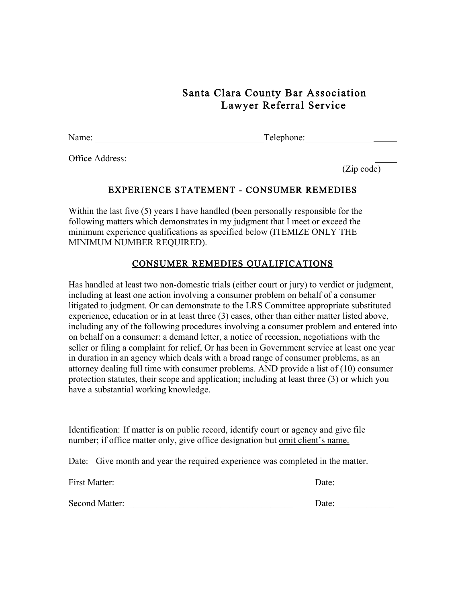## Santa Clara County Bar Association Lawyer Referral Service

| Name: | Telephone: |
|-------|------------|

Office Address:

(Zip code)

## EXPERIENCE STATEMENT - CONSUMER REMEDIES

Within the last five (5) years I have handled (been personally responsible for the following matters which demonstrates in my judgment that I meet or exceed the minimum experience qualifications as specified below (ITEMIZE ONLY THE MINIMUM NUMBER REQUIRED).

## CONSUMER REMEDIES QUALIFICATIONS

Has handled at least two non-domestic trials (either court or jury) to verdict or judgment, including at least one action involving a consumer problem on behalf of a consumer litigated to judgment. Or can demonstrate to the LRS Committee appropriate substituted experience, education or in at least three (3) cases, other than either matter listed above, including any of the following procedures involving a consumer problem and entered into on behalf on a consumer: a demand letter, a notice of recession, negotiations with the seller or filing a complaint for relief, Or has been in Government service at least one year in duration in an agency which deals with a broad range of consumer problems, as an attorney dealing full time with consumer problems. AND provide a list of (10) consumer protection statutes, their scope and application; including at least three (3) or which you have a substantial working knowledge.

 $\mathcal{L}_\text{max}$ 

Identification: If matter is on public record, identify court or agency and give file number; if office matter only, give office designation but omit client's name.

Date: Give month and year the required experience was completed in the matter.

| First Matter:  | Date: |
|----------------|-------|
| Second Matter: | Date: |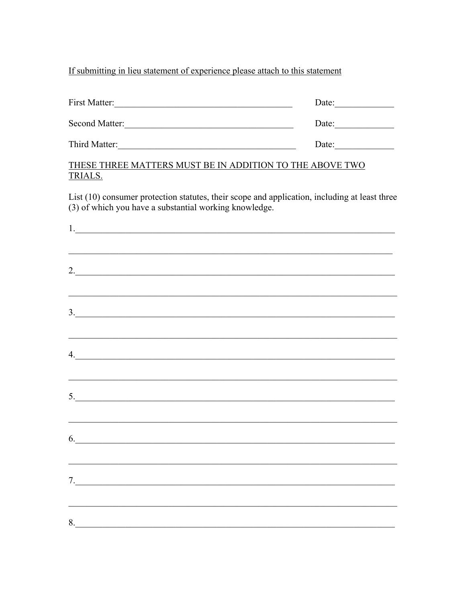If submitting in lieu statement of experience please attach to this statement

| First Matter:  | Date: |  |
|----------------|-------|--|
| Second Matter: | Date: |  |
| Third Matter:  | Date: |  |

## THESE THREE MATTERS MUST BE IN ADDITION TO THE ABOVE TWO TRIALS.

List (10) consumer protection statutes, their scope and application, including at least three (3) of which you have a substantial working knowledge.

|               | ,我们也不能在这里的时候,我们也不能在这里的时候,我们也不能不能不能会不能会不能会不能会不能会不能会不能会不能会不能会。""我们的是,我们也不能会不能会不能会不 |  |  |
|---------------|----------------------------------------------------------------------------------|--|--|
| 2.            |                                                                                  |  |  |
|               |                                                                                  |  |  |
|               |                                                                                  |  |  |
| $\frac{3}{2}$ |                                                                                  |  |  |
|               |                                                                                  |  |  |
| 4.            |                                                                                  |  |  |
|               |                                                                                  |  |  |
| 5.            |                                                                                  |  |  |
|               |                                                                                  |  |  |
|               |                                                                                  |  |  |
| $6.$          |                                                                                  |  |  |
|               |                                                                                  |  |  |
| 7.            |                                                                                  |  |  |
|               |                                                                                  |  |  |
| 8.            |                                                                                  |  |  |